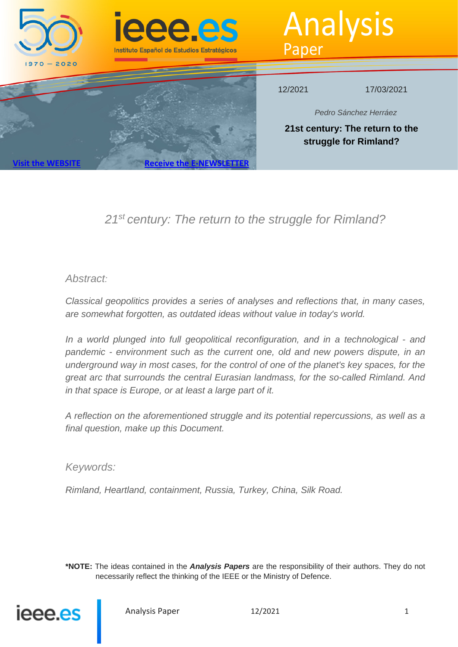

# *21st century: The return to the struggle for Rimland?*

## *Abstract:*

*Classical geopolitics provides a series of analyses and reflections that, in many cases, are somewhat forgotten, as outdated ideas without value in today's world.*

*In a world plunged into full geopolitical reconfiguration, and in a technological - and pandemic - environment such as the current one, old and new powers dispute, in an underground way in most cases, for the control of one of the planet's key spaces, for the great arc that surrounds the central Eurasian landmass, for the so-called Rimland. And in that space is Europe, or at least a large part of it.*

*A reflection on the aforementioned struggle and its potential repercussions, as well as a final question, make up this Document.*

## *Keywords:*

*Rimland, Heartland, containment, Russia, Turkey, China, Silk Road.*

**\*NOTE:** The ideas contained in the *Analysis Papers* are the responsibility of their authors. They do not necessarily reflect the thinking of the IEEE or the Ministry of Defence.

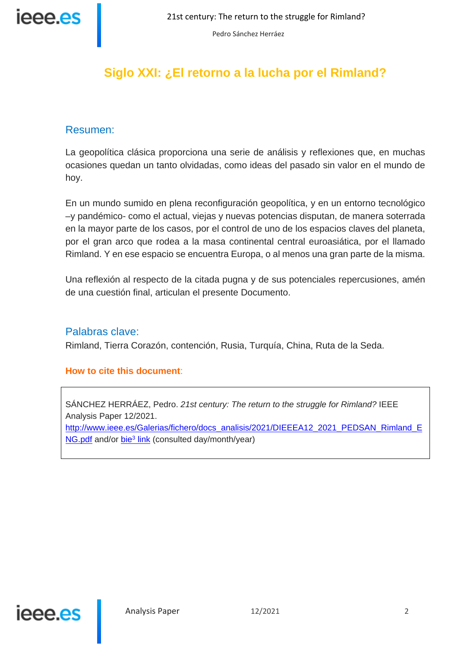

## **Siglo XXI: ¿El retorno a la lucha por el Rimland?**

## Resumen:

La geopolítica clásica proporciona una serie de análisis y reflexiones que, en muchas ocasiones quedan un tanto olvidadas, como ideas del pasado sin valor en el mundo de hoy.

En un mundo sumido en plena reconfiguración geopolítica, y en un entorno tecnológico –y pandémico- como el actual, viejas y nuevas potencias disputan, de manera soterrada en la mayor parte de los casos, por el control de uno de los espacios claves del planeta, por el gran arco que rodea a la masa continental central euroasiática, por el llamado Rimland. Y en ese espacio se encuentra Europa, o al menos una gran parte de la misma.

Una reflexión al respecto de la citada pugna y de sus potenciales repercusiones, amén de una cuestión final, articulan el presente Documento.

## Palabras clave:

Rimland, Tierra Corazón, contención, Rusia, Turquía, China, Ruta de la Seda.

## **How to cite this document**:

SÁNCHEZ HERRÁEZ, Pedro. *21st century: The return to the struggle for Rimland?* IEEE Analysis Paper 12/2021.

http://www.ieee.es/Galerias/fichero/docs\_analisis/2021/DIEEEA12\_2021\_PEDSAN\_Rimland\_E NG.pdf and/or bie<sup>3</sup> link (consulted day/month/year)

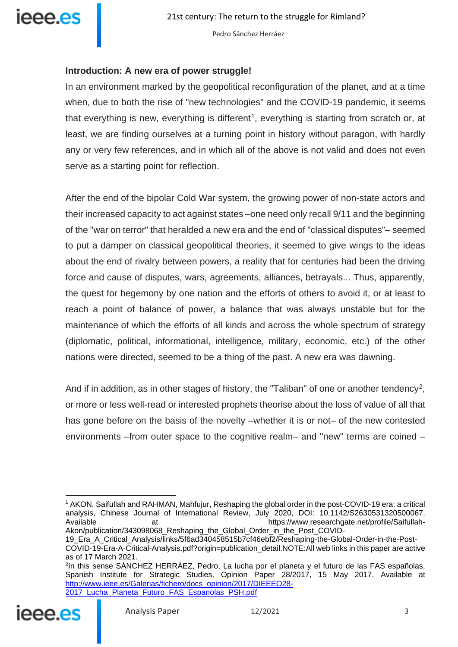

## **Introduction: A new era of power struggle!**

In an environment marked by the geopolitical reconfiguration of the planet, and at a time when, due to both the rise of "new technologies" and the COVID-19 pandemic, it seems that everything is new, everything is different<sup>[1](#page-2-0)</sup>, everything is starting from scratch or, at least, we are finding ourselves at a turning point in history without paragon, with hardly any or very few references, and in which all of the above is not valid and does not even serve as a starting point for reflection.

After the end of the bipolar Cold War system, the growing power of non-state actors and their increased capacity to act against states –one need only recall 9/11 and the beginning of the "war on terror" that heralded a new era and the end of "classical disputes"– seemed to put a damper on classical geopolitical theories, it seemed to give wings to the ideas about the end of rivalry between powers, a reality that for centuries had been the driving force and cause of disputes, wars, agreements, alliances, betrayals... Thus, apparently, the quest for hegemony by one nation and the efforts of others to avoid it, or at least to reach a point of balance of power, a balance that was always unstable but for the maintenance of which the efforts of all kinds and across the whole spectrum of strategy (diplomatic, political, informational, intelligence, military, economic, etc.) of the other nations were directed, seemed to be a thing of the past. A new era was dawning.

And if in addition, as in other stages of history, the "Taliban" of one or another tendency<sup>[2](#page-2-1)</sup>, or more or less well-read or interested prophets theorise about the loss of value of all that has gone before on the basis of the novelty –whether it is or not– of the new contested environments –from outer space to the cognitive realm– and "new" terms are coined –

<span id="page-2-1"></span><span id="page-2-0"></span><sup>2</sup>In this sense SÁNCHEZ HERRÁEZ, Pedro, La lucha por el planeta y el futuro de las FAS españolas, Spanish Institute for Strategic Studies, Opinion Paper 28/2017, 15 May 2017. Available at [http://www.ieee.es/Galerias/fichero/docs\\_opinion/2017/DIEEEO28-](http://www.ieee.es/Galerias/fichero/docs_opinion/2017/DIEEEO28-2017_Lucha_Planeta_Futuro_FAS_Espanolas_PSH.pdf) [2017\\_Lucha\\_Planeta\\_Futuro\\_FAS\\_Espanolas\\_PSH.pdf](http://www.ieee.es/Galerias/fichero/docs_opinion/2017/DIEEEO28-2017_Lucha_Planeta_Futuro_FAS_Espanolas_PSH.pdf)



<sup>1</sup> AKON, Saifullah and RAHMAN, Mahfujur, Reshaping the global order in the post-COVID-19 era: a critical analysis, Chinese Journal of International Review, July 2020, DOI: 10.1142/S2630531320500067. Available at https://www.researchgate.net/profile/Saifullah-Akon/publication/343098068 Reshaping the Global Order in the Post COVID-

<sup>19</sup>\_Era\_A\_Critical\_Analysis/links/5f6ad340458515b7cf46ebf2/Reshaping-the-Global-Order-in-the-Post-COVID-19-Era-A-Critical-Analysis.pdf?origin=publication\_detail.NOTE:All web links in this paper are active as of 17 March 2021.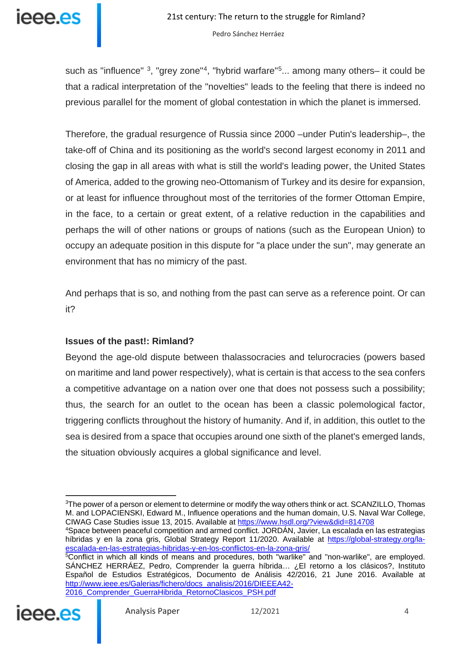

such as "influence"  $3$ , "grey zone"<sup>[4](#page-3-1)</sup>, "hybrid warfare" $5...$  $5...$  among many others– it could be that a radical interpretation of the "novelties" leads to the feeling that there is indeed no previous parallel for the moment of global contestation in which the planet is immersed.

Therefore, the gradual resurgence of Russia since 2000 –under Putin's leadership–, the take-off of China and its positioning as the world's second largest economy in 2011 and closing the gap in all areas with what is still the world's leading power, the United States of America, added to the growing neo-Ottomanism of Turkey and its desire for expansion, or at least for influence throughout most of the territories of the former Ottoman Empire, in the face, to a certain or great extent, of a relative reduction in the capabilities and perhaps the will of other nations or groups of nations (such as the European Union) to occupy an adequate position in this dispute for "a place under the sun", may generate an environment that has no mimicry of the past.

And perhaps that is so, and nothing from the past can serve as a reference point. Or can it?

## **Issues of the past!: Rimland?**

Beyond the age-old dispute between thalassocracies and telurocracies (powers based on maritime and land power respectively), what is certain is that access to the sea confers a competitive advantage on a nation over one that does not possess such a possibility; thus, the search for an outlet to the ocean has been a classic polemological factor, triggering conflicts throughout the history of humanity. And if, in addition, this outlet to the sea is desired from a space that occupies around one sixth of the planet's emerged lands, the situation obviously acquires a global significance and level.

<span id="page-3-2"></span><span id="page-3-1"></span><span id="page-3-0"></span><sup>&</sup>lt;sup>5</sup>Conflict in which all kinds of means and procedures, both "warlike" and "non-warlike", are employed. SÁNCHEZ HERRÁEZ, Pedro, Comprender la guerra híbrida… ¿El retorno a los clásicos?, Instituto Español de Estudios Estratégicos, Documento de Análisis 42/2016, 21 June 2016. Available at [http://www.ieee.es/Galerias/fichero/docs\\_analisis/2016/DIEEEA42-](http://www.ieee.es/Galerias/fichero/docs_analisis/2016/DIEEEA42-2016_Comprender_GuerraHibrida_RetornoClasicos_PSH.pdf) [2016\\_Comprender\\_GuerraHibrida\\_RetornoClasicos\\_PSH.pdf](http://www.ieee.es/Galerias/fichero/docs_analisis/2016/DIEEEA42-2016_Comprender_GuerraHibrida_RetornoClasicos_PSH.pdf)



<sup>&</sup>lt;sup>3</sup>The power of a person or element to determine or modify the way others think or act. SCANZILLO, Thomas M. and LOPACIENSKI, Edward M., Influence operations and the human domain, U.S. Naval War College, CIWAG Case Studies issue 13, 2015. Available at<https://www.hsdl.org/?view&did=814708>

<sup>4</sup>Space between peaceful competition and armed conflict. JORDÁN, Javier, La escalada en las estrategias híbridas y en la zona gris, Global Strategy Report 11/2020. Available at [https://global-strategy.org/la](https://global-strategy.org/la-escalada-en-las-estrategias-hibridas-y-en-los-conflictos-en-la-zona-gris/)[escalada-en-las-estrategias-hibridas-y-en-los-conflictos-en-la-zona-gris/](https://global-strategy.org/la-escalada-en-las-estrategias-hibridas-y-en-los-conflictos-en-la-zona-gris/)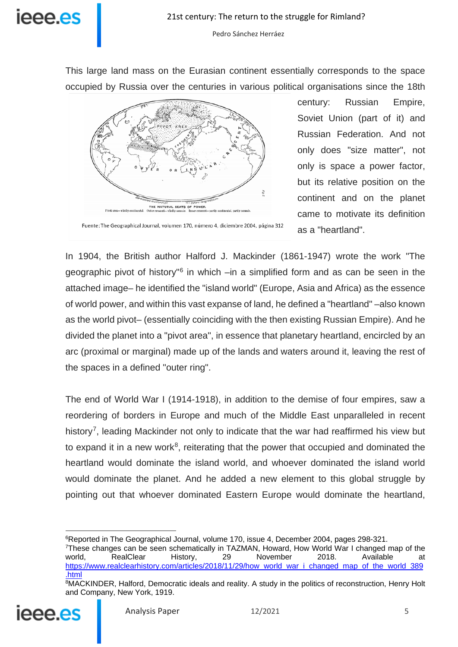

This large land mass on the Eurasian continent essentially corresponds to the space occupied by Russia over the centuries in various political organisations since the 18th



century: Russian Empire, Soviet Union (part of it) and Russian Federation. And not only does "size matter", not only is space a power factor, but its relative position on the continent and on the planet came to motivate its definition as a "heartland".

Fuente: The Geographical Journal, volumen 170, número 4, diciembre 2004, página 312

In 1904, the British author Halford J. Mackinder (1861-1947) wrote the work "The geographic pivot of history"[6](#page-4-0) in which –in a simplified form and as can be seen in the attached image– he identified the "island world" (Europe, Asia and Africa) as the essence of world power, and within this vast expanse of land, he defined a "heartland" –also known as the world pivot– (essentially coinciding with the then existing Russian Empire). And he divided the planet into a "pivot area", in essence that planetary heartland, encircled by an arc (proximal or marginal) made up of the lands and waters around it, leaving the rest of the spaces in a defined "outer ring".

The end of World War I (1914-1918), in addition to the demise of four empires, saw a reordering of borders in Europe and much of the Middle East unparalleled in recent history<sup>[7](#page-4-1)</sup>, leading Mackinder not only to indicate that the war had reaffirmed his view but to expand it in a new work<sup>8</sup>, reiterating that the power that occupied and dominated the heartland would dominate the island world, and whoever dominated the island world would dominate the planet. And he added a new element to this global struggle by pointing out that whoever dominated Eastern Europe would dominate the heartland,

<span id="page-4-2"></span><span id="page-4-1"></span><span id="page-4-0"></span><sup>8</sup>MACKINDER, Halford, Democratic ideals and reality. A study in the politics of reconstruction, Henry Holt and Company, New York, 1919.



 $\overline{a}$ <sup>6</sup>Reported in The Geographical Journal, volume 170, issue 4, December 2004, pages 298-321.

<sup>&</sup>lt;sup>7</sup>These changes can be seen schematically in TAZMAN, Howard, How World War I changed map of the world,  $\overline{a}$  RealClear History, 29 November 2018. Available at world, RealClear History, 29 November 2018. Available at [https://www.realclearhistory.com/articles/2018/11/29/how\\_world\\_war\\_i\\_changed\\_map\\_of\\_the\\_world\\_389](https://www.realclearhistory.com/articles/2018/11/29/how_world_war_i_changed_map_of_the_world_389.html) [.html](https://www.realclearhistory.com/articles/2018/11/29/how_world_war_i_changed_map_of_the_world_389.html)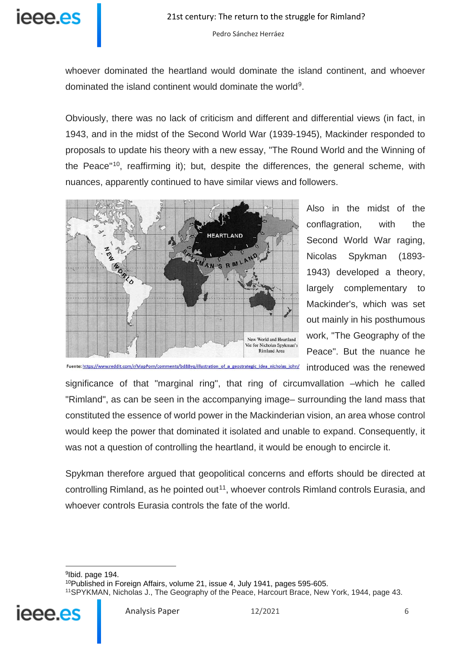

whoever dominated the heartland would dominate the island continent, and whoever dominated the island continent would dominate the world<sup>[9](#page-5-0)</sup>.

Obviously, there was no lack of criticism and different and differential views (in fact, in 1943, and in the midst of the Second World War (1939-1945), Mackinder responded to proposals to update his theory with a new essay, "The Round World and the Winning of the Peace"[10,](#page-5-1) reaffirming it); but, despite the differences, the general scheme, with nuances, apparently continued to have similar views and followers.



Also in the midst of the conflagration, with the Second World War raging, Nicolas Spykman (1893- 1943) developed a theory, largely complementary to Mackinder's, which was set out mainly in his posthumous work, "The Geography of the Peace". But the nuance he introduced was the renewed

Fuente: https://www.reddit.com/r/MapPorn/comments/bd88yq/illustration\_of\_a\_geostrategic\_idea\_nicholas\_john/

significance of that "marginal ring", that ring of circumvallation –which he called "Rimland", as can be seen in the accompanying image– surrounding the land mass that constituted the essence of world power in the Mackinderian vision, an area whose control would keep the power that dominated it isolated and unable to expand. Consequently, it was not a question of controlling the heartland, it would be enough to encircle it.

Spykman therefore argued that geopolitical concerns and efforts should be directed at controlling Rimland, as he pointed out<sup>11</sup>, whoever controls Rimland controls Eurasia, and whoever controls Eurasia controls the fate of the world.

<span id="page-5-2"></span><span id="page-5-1"></span><span id="page-5-0"></span>9Ibid. page 194. 10Published in Foreign Affairs, volume 21, issue 4, July 1941, pages 595-605. 11SPYKMAN, Nicholas J., The Geography of the Peace, Harcourt Brace, New York, 1944, page 43.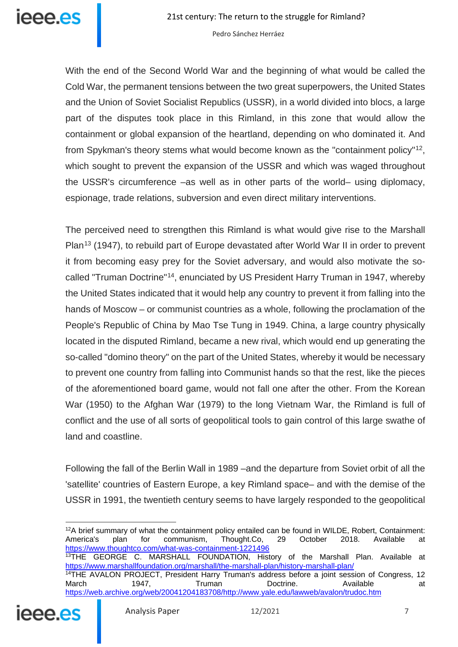

With the end of the Second World War and the beginning of what would be called the Cold War, the permanent tensions between the two great superpowers, the United States and the Union of Soviet Socialist Republics (USSR), in a world divided into blocs, a large part of the disputes took place in this Rimland, in this zone that would allow the containment or global expansion of the heartland, depending on who dominated it. And from Spykman's theory stems what would become known as the "containment policy"[12](#page-6-0), which sought to prevent the expansion of the USSR and which was waged throughout the USSR's circumference –as well as in other parts of the world– using diplomacy, espionage, trade relations, subversion and even direct military interventions.

The perceived need to strengthen this Rimland is what would give rise to the Marshall Plan<sup>[13](#page-6-1)</sup> (1947), to rebuild part of Europe devastated after World War II in order to prevent it from becoming easy prey for the Soviet adversary, and would also motivate the socalled "Truman Doctrine"[14,](#page-6-2) enunciated by US President Harry Truman in 1947, whereby the United States indicated that it would help any country to prevent it from falling into the hands of Moscow – or communist countries as a whole, following the proclamation of the People's Republic of China by Mao Tse Tung in 1949. China, a large country physically located in the disputed Rimland, became a new rival, which would end up generating the so-called "domino theory" on the part of the United States, whereby it would be necessary to prevent one country from falling into Communist hands so that the rest, like the pieces of the aforementioned board game, would not fall one after the other. From the Korean War (1950) to the Afghan War (1979) to the long Vietnam War, the Rimland is full of conflict and the use of all sorts of geopolitical tools to gain control of this large swathe of land and coastline.

Following the fall of the Berlin Wall in 1989 –and the departure from Soviet orbit of all the 'satellite' countries of Eastern Europe, a key Rimland space– and with the demise of the USSR in 1991, the twentieth century seems to have largely responded to the geopolitical

<span id="page-6-0"></span>12A brief summary of what the containment policy entailed can be found in WILDE, Robert, Containment: America's plan for communism, Thought.Co, 29 October 2018. Available at <https://www.thoughtco.com/what-was-containment-1221496> 13THE GEORGE C. MARSHALL FOUNDATION, History of the Marshall Plan. Available at <https://www.marshallfoundation.org/marshall/the-marshall-plan/history-marshall-plan/> <sup>14</sup>THE AVALON PROJECT, President Harry Truman's address before a joint session of Congress, 12 March 1947, Truman Doctrine. Available at

[https://web.archive.org/web/20041204183708/http://www.yale.edu/lawweb/avalon/trudoc.htm](https://web.archive.org/web/20041204183708/http:/www.yale.edu/lawweb/avalon/trudoc.htm)

<span id="page-6-2"></span><span id="page-6-1"></span>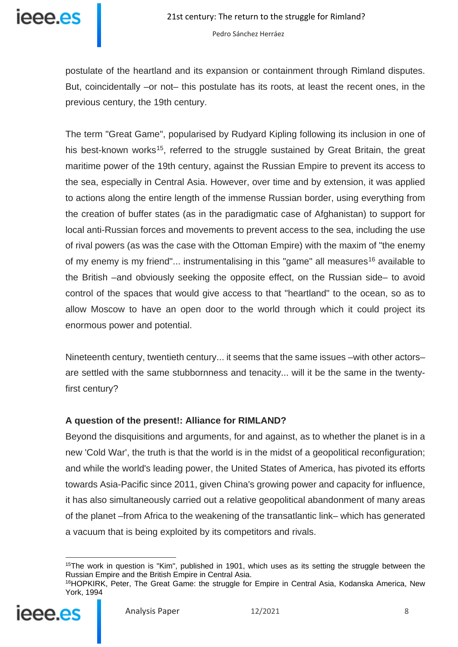

postulate of the heartland and its expansion or containment through Rimland disputes. But, coincidentally –or not– this postulate has its roots, at least the recent ones, in the previous century, the 19th century.

The term "Great Game", popularised by Rudyard Kipling following its inclusion in one of his best-known works<sup>15</sup>, referred to the struggle sustained by Great Britain, the great maritime power of the 19th century, against the Russian Empire to prevent its access to the sea, especially in Central Asia. However, over time and by extension, it was applied to actions along the entire length of the immense Russian border, using everything from the creation of buffer states (as in the paradigmatic case of Afghanistan) to support for local anti-Russian forces and movements to prevent access to the sea, including the use of rival powers (as was the case with the Ottoman Empire) with the maxim of "the enemy of my enemy is my friend"... instrumentalising in this "game" all measures<sup>[16](#page-7-1)</sup> available to the British –and obviously seeking the opposite effect, on the Russian side– to avoid control of the spaces that would give access to that "heartland" to the ocean, so as to allow Moscow to have an open door to the world through which it could project its enormous power and potential.

Nineteenth century, twentieth century... it seems that the same issues –with other actors– are settled with the same stubbornness and tenacity... will it be the same in the twentyfirst century?

## **A question of the present!: Alliance for RIMLAND?**

Beyond the disquisitions and arguments, for and against, as to whether the planet is in a new 'Cold War', the truth is that the world is in the midst of a geopolitical reconfiguration; and while the world's leading power, the United States of America, has pivoted its efforts towards Asia-Pacific since 2011, given China's growing power and capacity for influence, it has also simultaneously carried out a relative geopolitical abandonment of many areas of the planet –from Africa to the weakening of the transatlantic link– which has generated a vacuum that is being exploited by its competitors and rivals.

<span id="page-7-1"></span><span id="page-7-0"></span><sup>&</sup>lt;sup>16</sup>HOPKIRK, Peter, The Great Game: the struggle for Empire in Central Asia, Kodanska America, New York, 1994



<sup>&</sup>lt;sup>15</sup>The work in question is "Kim", published in 1901, which uses as its setting the struggle between the Russian Empire and the British Empire in Central Asia.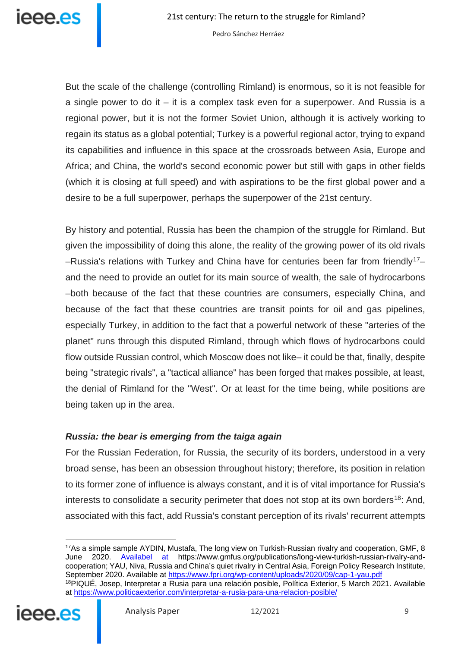But the scale of the challenge (controlling Rimland) is enormous, so it is not feasible for a single power to do it  $-$  it is a complex task even for a superpower. And Russia is a regional power, but it is not the former Soviet Union, although it is actively working to regain its status as a global potential; Turkey is a powerful regional actor, trying to expand its capabilities and influence in this space at the crossroads between Asia, Europe and Africa; and China, the world's second economic power but still with gaps in other fields (which it is closing at full speed) and with aspirations to be the first global power and a desire to be a full superpower, perhaps the superpower of the 21st century.

By history and potential, Russia has been the champion of the struggle for Rimland. But given the impossibility of doing this alone, the reality of the growing power of its old rivals  $-$ Russia's relations with Turkey and China have for centuries been far from friendly<sup>[17](#page-8-0)</sup>– and the need to provide an outlet for its main source of wealth, the sale of hydrocarbons –both because of the fact that these countries are consumers, especially China, and because of the fact that these countries are transit points for oil and gas pipelines, especially Turkey, in addition to the fact that a powerful network of these "arteries of the planet" runs through this disputed Rimland, through which flows of hydrocarbons could flow outside Russian control, which Moscow does not like– it could be that, finally, despite being "strategic rivals", a "tactical alliance" has been forged that makes possible, at least, the denial of Rimland for the "West". Or at least for the time being, while positions are being taken up in the area.

## *Russia: the bear is emerging from the taiga again*

For the Russian Federation, for Russia, the security of its borders, understood in a very broad sense, has been an obsession throughout history; therefore, its position in relation to its former zone of influence is always constant, and it is of vital importance for Russia's interests to consolidate a security perimeter that does not stop at its own borders<sup>18</sup>: And, associated with this fact, add Russia's constant perception of its rivals' recurrent attempts

<span id="page-8-1"></span><span id="page-8-0"></span><sup>17</sup>As a simple sample AYDIN, Mustafa, The long view on Turkish-Russian rivalry and cooperation, GMF, 8 June 2020. [Availabel at h](https://www.gmfus.org/publications/long-view-turkish-russian-rivalry-and-cooperation)ttps://www.gmfus.org/publications/long-view-turkish-russian-rivalry-andcooperation; YAU, Niva, Russia and China's quiet rivalry in Central Asia, Foreign Policy Research Institute, September 2020. Available at<https://www.fpri.org/wp-content/uploads/2020/09/cap-1-yau.pdf> 18PIQUÉ, Josep, Interpretar a Rusia para una relación posible, Política Exterior, 5 March 2021. Available at<https://www.politicaexterior.com/interpretar-a-rusia-para-una-relacion-posible/>

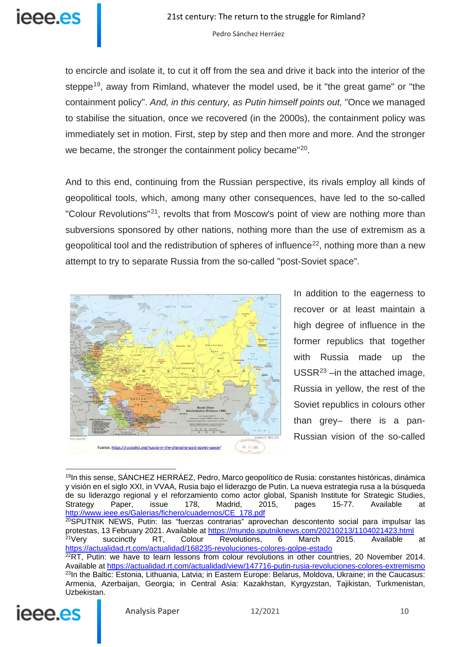

to encircle and isolate it, to cut it off from the sea and drive it back into the interior of the steppe<sup>[19](#page-9-0)</sup>, away from Rimland, whatever the model used, be it "the great game" or "the containment policy". *And, in this century, as Putin himself points out,* "Once we managed to stabilise the situation, once we recovered (in the 2000s), the containment policy was immediately set in motion. First, step by step and then more and more. And the stronger we became, the stronger the containment policy became"<sup>20</sup>.

And to this end, continuing from the Russian perspective, its rivals employ all kinds of geopolitical tools, which, among many other consequences, have led to the so-called "Colour Revolutions"[21](#page-9-2), revolts that from Moscow's point of view are nothing more than subversions sponsored by other nations, nothing more than the use of extremism as a geopolitical tool and the redistribution of spheres of influence<sup>[22](#page-9-3)</sup>, nothing more than a new attempt to try to separate Russia from the so-called "post-Soviet space".



In addition to the eagerness to recover or at least maintain a high degree of influence in the former republics that together with Russia made up the  $USSR<sup>23</sup> - in the attached image,$  $USSR<sup>23</sup> - in the attached image,$  $USSR<sup>23</sup> - in the attached image,$ Russia in yellow, the rest of the Soviet republics in colours other than grey– there is a pan-Russian vision of the so-called

<span id="page-9-4"></span><span id="page-9-3"></span><span id="page-9-2"></span><span id="page-9-1"></span><span id="page-9-0"></span><sup>&</sup>lt;sup>19</sup>In this sense, SÁNCHEZ HERRÁEZ, Pedro, Marco geopolítico de Rusia: constantes históricas, dinámica y visión en el siglo XXI, in VVAA, Rusia bajo el liderazgo de Putin. La nueva estrategia rusa a la búsqueda de su liderazgo regional y el reforzamiento como actor global, Spanish Institute for Strategic Studies,<br>Strategy Paper, issue 178, Madrid, 2015, pages 15-77. Available at Strategy Paper, issue 178, Madrid, 2015, pages 15-77. Available at [http://www.ieee.es/Galerias/fichero/cuadernos/CE\\_178.pdf](http://www.ieee.es/Galerias/fichero/cuadernos/CE_178.pdf) <sup>20</sup>SPUTNIK NEWS, Putin: las "fuerzas contrarias" aprovechan descontento social para impulsar las protestas, 13 February 2021. Available at <u>https://mundo.sputniknews.com/20210213/1104021423.html</u> <sup>21</sup>Very succinctly RT, Colour Revolutions, 6 March 2015. Available at <https://actualidad.rt.com/actualidad/168235-revoluciones-colores-golpe-estado>  $22RT$ , Putin: we have to learn lessons from colour revolutions in other countries, 20 November 2014. Available at<https://actualidad.rt.com/actualidad/view/147716-putin-rusia-revoluciones-colores-extremismo> <sup>23</sup>In the Baltic: Estonia, Lithuania, Latvia; in Eastern Europe: Belarus, Moldova, Ukraine; in the Caucasus: Armenia, Azerbaijan, Georgia; in Central Asia: Kazakhstan, Kyrgyzstan, Tajikistan, Turkmenistan, Uzbekistan.



 $\overline{a}$ 

Analysis Paper 12/2021 10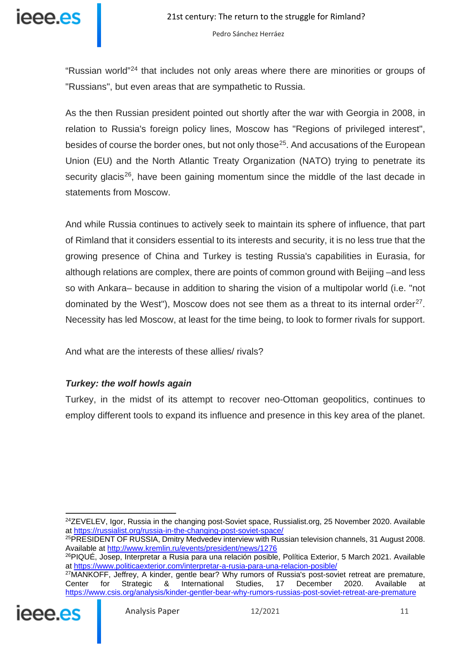

"Russian world"[24](#page-10-0) that includes not only areas where there are minorities or groups of "Russians", but even areas that are sympathetic to Russia.

As the then Russian president pointed out shortly after the war with Georgia in 2008, in relation to Russia's foreign policy lines, Moscow has "Regions of privileged interest", besides of course the border ones, but not only those<sup>[25](#page-10-1)</sup>. And accusations of the European Union (EU) and the North Atlantic Treaty Organization (NATO) trying to penetrate its security glacis<sup>26</sup>, have been gaining momentum since the middle of the last decade in statements from Moscow.

And while Russia continues to actively seek to maintain its sphere of influence, that part of Rimland that it considers essential to its interests and security, it is no less true that the growing presence of China and Turkey is testing Russia's capabilities in Eurasia, for although relations are complex, there are points of common ground with Beijing –and less so with Ankara– because in addition to sharing the vision of a multipolar world (i.e. "not dominated by the West"), Moscow does not see them as a threat to its internal order<sup>[27](#page-10-3)</sup>. Necessity has led Moscow, at least for the time being, to look to former rivals for support.

And what are the interests of these allies/ rivals?

## *Turkey: the wolf howls again*

Turkey, in the midst of its attempt to recover neo-Ottoman geopolitics, continues to employ different tools to expand its influence and presence in this key area of the planet.

26PIQUÉ, Josep, Interpretar a Rusia para una relación posible, Política Exterior, 5 March 2021. Available at<https://www.politicaexterior.com/interpretar-a-rusia-para-una-relacion-posible/>

<sup>27</sup>MANKOFF, Jeffrey, A kinder, gentle bear? Why rumors of Russia's post-soviet retreat are premature,<br>Center for Strategic & International Studies, 17 December 2020. Available at Center for Strategic & International Studies, 17 December 2020. Available at <https://www.csis.org/analysis/kinder-gentler-bear-why-rumors-russias-post-soviet-retreat-are-premature>

<span id="page-10-3"></span><span id="page-10-2"></span>

<span id="page-10-0"></span> $^{24}$ ZEVELEV, Igor, Russia in the changing post-Soviet space, Russialist.org, 25 November 2020, Available at<https://russialist.org/russia-in-the-changing-post-soviet-space/>

<span id="page-10-1"></span><sup>25</sup>PRESIDENT OF RUSSIA, Dmitry Medvedev interview with Russian television channels, 31 August 2008. Available at<http://www.kremlin.ru/events/president/news/1276>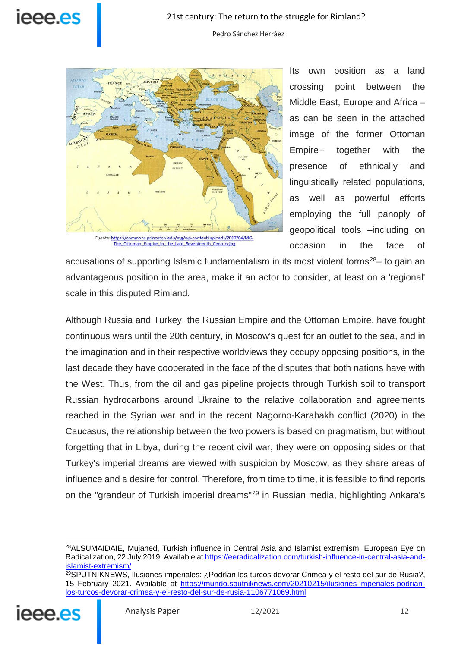

Fuente: https://commons.princeton.edu/mg/wp-content/uploads/2017/04/MG-The Ottoman Empire in the Late Seventeenth Century.jpg

Its own position as a land crossing point between the Middle East, Europe and Africa – as can be seen in the attached image of the former Ottoman Empire– together with the presence of ethnically and linguistically related populations, as well as powerful efforts employing the full panoply of geopolitical tools –including on occasion in the face of

accusations of supporting Islamic fundamentalism in its most violent forms<sup>28</sup> – to gain an advantageous position in the area, make it an actor to consider, at least on a 'regional' scale in this disputed Rimland.

Although Russia and Turkey, the Russian Empire and the Ottoman Empire, have fought continuous wars until the 20th century, in Moscow's quest for an outlet to the sea, and in the imagination and in their respective worldviews they occupy opposing positions, in the last decade they have cooperated in the face of the disputes that both nations have with the West. Thus, from the oil and gas pipeline projects through Turkish soil to transport Russian hydrocarbons around Ukraine to the relative collaboration and agreements reached in the Syrian war and in the recent Nagorno-Karabakh conflict (2020) in the Caucasus, the relationship between the two powers is based on pragmatism, but without forgetting that in Libya, during the recent civil war, they were on opposing sides or that Turkey's imperial dreams are viewed with suspicion by Moscow, as they share areas of influence and a desire for control. Therefore, from time to time, it is feasible to find reports on the "grandeur of Turkish imperial dreams"[29](#page-11-1) in Russian media, highlighting Ankara's

<span id="page-11-1"></span><span id="page-11-0"></span><sup>29</sup>SPUTNIKNEWS, Ilusiones imperiales: ¿Podrían los turcos devorar Crimea y el resto del sur de Rusia?, 15 February 2021. Available at [https://mundo.sputniknews.com/20210215/ilusiones-imperiales-podrian](https://mundo.sputniknews.com/20210215/ilusiones-imperiales-podrian-los-turcos-devorar-crimea-y-el-resto-del-sur-de-rusia-1106771069.html)[los-turcos-devorar-crimea-y-el-resto-del-sur-de-rusia-1106771069.html](https://mundo.sputniknews.com/20210215/ilusiones-imperiales-podrian-los-turcos-devorar-crimea-y-el-resto-del-sur-de-rusia-1106771069.html)



 $\overline{a}$ <sup>28</sup>ALSUMAIDAIE, Mujahed, Turkish influence in Central Asia and Islamist extremism, European Eve on Radicalization, 22 July 2019. Available a[t https://eeradicalization.com/turkish-influence-in-central-asia-and](https://eeradicalization.com/turkish-influence-in-central-asia-and-islamist-extremism/)[islamist-extremism/](https://eeradicalization.com/turkish-influence-in-central-asia-and-islamist-extremism/)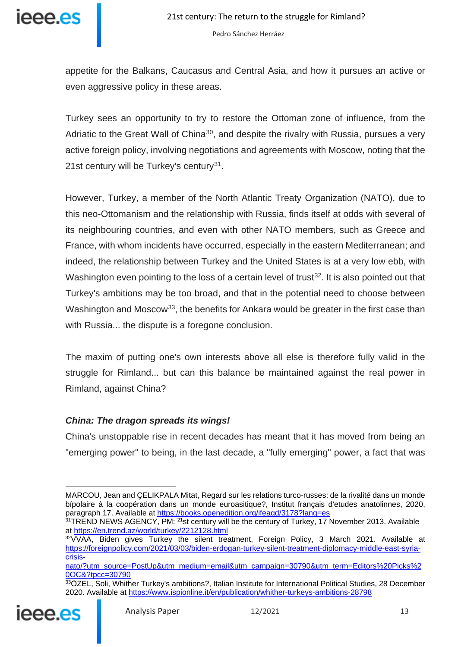

appetite for the Balkans, Caucasus and Central Asia, and how it pursues an active or even aggressive policy in these areas.

Turkey sees an opportunity to try to restore the Ottoman zone of influence, from the Adriatic to the Great Wall of China<sup>[30](#page-12-0)</sup>, and despite the rivalry with Russia, pursues a very active foreign policy, involving negotiations and agreements with Moscow, noting that the 21st century will be Turkey's century<sup>[31](#page-12-1)</sup>.

However, Turkey, a member of the North Atlantic Treaty Organization (NATO), due to this neo-Ottomanism and the relationship with Russia, finds itself at odds with several of its neighbouring countries, and even with other NATO members, such as Greece and France, with whom incidents have occurred, especially in the eastern Mediterranean; and indeed, the relationship between Turkey and the United States is at a very low ebb, with Washington even pointing to the loss of a certain level of trust<sup>32</sup>. It is also pointed out that Turkey's ambitions may be too broad, and that in the potential need to choose between Washington and Moscow<sup>33</sup>, the benefits for Ankara would be greater in the first case than with Russia... the dispute is a foregone conclusion.

The maxim of putting one's own interests above all else is therefore fully valid in the struggle for Rimland... but can this balance be maintained against the real power in Rimland, against China?

## *China: The dragon spreads its wings!*

China's unstoppable rise in recent decades has meant that it has moved from being an "emerging power" to being, in the last decade, a "fully emerging" power, a fact that was

<span id="page-12-3"></span><span id="page-12-2"></span><span id="page-12-1"></span><sup>33</sup>ÖZEL, Soli, Whither Turkey's ambitions?, Italian Institute for International Political Studies, 28 December 2020. Available at<https://www.ispionline.it/en/publication/whither-turkeys-ambitions-28798>



<span id="page-12-0"></span>MARCOU, Jean and ÇELIKPALA Mitat, Regard sur les relations turco-russes: de la rivalité dans un monde bípolaire à la coopération dans un monde euroasitique?, Institut français d'etudes anatolinnes, 2020, paragraph 17. Available at<https://books.openedition.org/ifeagd/3178?lang=es>

<sup>&</sup>lt;sup>31</sup>TREND NEWS AGENCY, PM: <sup>21</sup>st century will be the century of Turkey, 17 November 2013. Available at<https://en.trend.az/world/turkey/2212128.html>

<sup>32</sup>VVAA, Biden gives Turkey the silent treatment, Foreign Policy, 3 March 2021. Available at [https://foreignpolicy.com/2021/03/03/biden-erdogan-turkey-silent-treatment-diplomacy-middle-east-syria](https://foreignpolicy.com/2021/03/03/biden-erdogan-turkey-silent-treatment-diplomacy-middle-east-syria-crisis-nato/?utm_source=PostUp&utm_medium=email&utm_campaign=30790&utm_term=Editors%20Picks%20OC&?tpcc=30790)[crisis-](https://foreignpolicy.com/2021/03/03/biden-erdogan-turkey-silent-treatment-diplomacy-middle-east-syria-crisis-nato/?utm_source=PostUp&utm_medium=email&utm_campaign=30790&utm_term=Editors%20Picks%20OC&?tpcc=30790)

[nato/?utm\\_source=PostUp&utm\\_medium=email&utm\\_campaign=30790&utm\\_term=Editors%20Picks%2](https://foreignpolicy.com/2021/03/03/biden-erdogan-turkey-silent-treatment-diplomacy-middle-east-syria-crisis-nato/?utm_source=PostUp&utm_medium=email&utm_campaign=30790&utm_term=Editors%20Picks%20OC&?tpcc=30790) [0OC&?tpcc=30790](https://foreignpolicy.com/2021/03/03/biden-erdogan-turkey-silent-treatment-diplomacy-middle-east-syria-crisis-nato/?utm_source=PostUp&utm_medium=email&utm_campaign=30790&utm_term=Editors%20Picks%20OC&?tpcc=30790)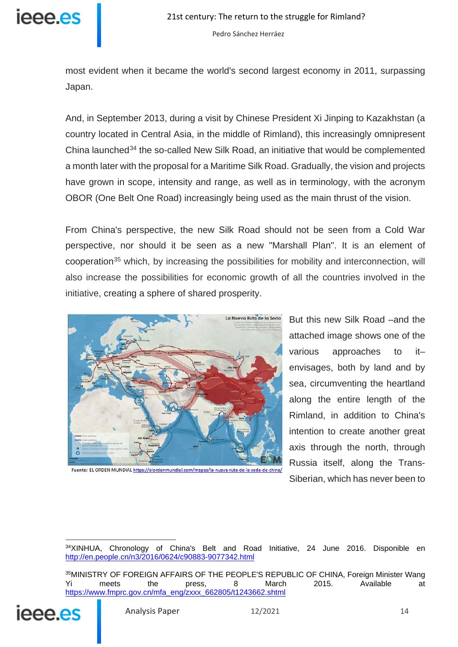

most evident when it became the world's second largest economy in 2011, surpassing Japan.

And, in September 2013, during a visit by Chinese President Xi Jinping to Kazakhstan (a country located in Central Asia, in the middle of Rimland), this increasingly omnipresent China launched<sup>[34](#page-13-0)</sup> the so-called New Silk Road, an initiative that would be complemented a month later with the proposal for a Maritime Silk Road. Gradually, the vision and projects have grown in scope, intensity and range, as well as in terminology, with the acronym OBOR (One Belt One Road) increasingly being used as the main thrust of the vision.

From China's perspective, the new Silk Road should not be seen from a Cold War perspective, nor should it be seen as a new "Marshall Plan". It is an element of cooperation[35](#page-13-1) which, by increasing the possibilities for mobility and interconnection, will also increase the possibilities for economic growth of all the countries involved in the initiative, creating a sphere of shared prosperity.



Fuente: EL ORDEN MUNDIAL https://elordenmundial.com/mapas/la-nueva-ruta-de-la-seda-de-china/

But this new Silk Road –and the attached image shows one of the various approaches to it– envisages, both by land and by sea, circumventing the heartland along the entire length of the Rimland, in addition to China's intention to create another great axis through the north, through Russia itself, along the Trans-Siberian, which has never been to

<span id="page-13-1"></span><span id="page-13-0"></span><sup>35</sup>MINISTRY OF FOREIGN AFFAIRS OF THE PEOPLE'S REPUBLIC OF CHINA, Foreign Minister Wang Yi meets the press, 8 March 2015. Available at [https://www.fmprc.gov.cn/mfa\\_eng/zxxx\\_662805/t1243662.shtml](https://www.fmprc.gov.cn/mfa_eng/zxxx_662805/t1243662.shtml)



<sup>34</sup>XINHUA, Chronology of China's Belt and Road Initiative, 24 June 2016. Disponible en <http://en.people.cn/n3/2016/0624/c90883-9077342.html>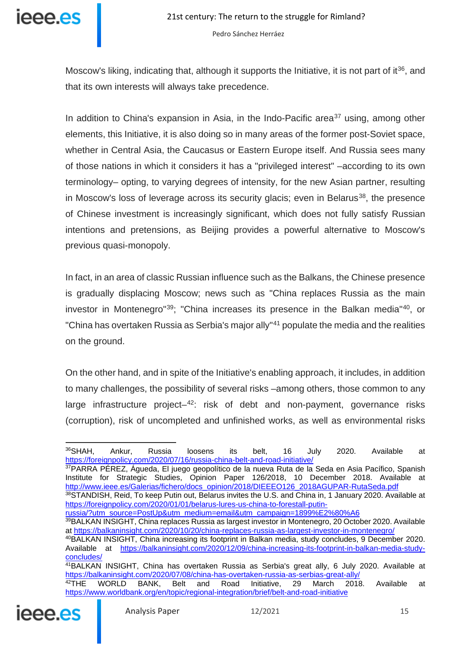

Moscow's liking, indicating that, although it supports the Initiative, it is not part of it<sup>[36](#page-14-0)</sup>, and that its own interests will always take precedence.

In addition to China's expansion in Asia, in the Indo-Pacific area<sup>[37](#page-14-1)</sup> using, among other elements, this Initiative, it is also doing so in many areas of the former post-Soviet space, whether in Central Asia, the Caucasus or Eastern Europe itself. And Russia sees many of those nations in which it considers it has a "privileged interest" –according to its own terminology– opting, to varying degrees of intensity, for the new Asian partner, resulting in Moscow's loss of leverage across its security glacis; even in Belarus<sup>38</sup>, the presence of Chinese investment is increasingly significant, which does not fully satisfy Russian intentions and pretensions, as Beijing provides a powerful alternative to Moscow's previous quasi-monopoly.

In fact, in an area of classic Russian influence such as the Balkans, the Chinese presence is gradually displacing Moscow; news such as "China replaces Russia as the main investor in Montenegro"[39;](#page-14-3) "China increases its presence in the Balkan media"[40,](#page-14-4) or "China has overtaken Russia as Serbia's major ally"[41](#page-14-5) populate the media and the realities on the ground.

On the other hand, and in spite of the Initiative's enabling approach, it includes, in addition to many challenges, the possibility of several risks –among others, those common to any large infrastructure project $-42$  $-42$ : risk of debt and non-payment, governance risks (corruption), risk of uncompleted and unfinished works, as well as environmental risks

<span id="page-14-1"></span>37PARRA PÉREZ, Águeda, El juego geopolítico de la nueva Ruta de la Seda en Asia Pacífico, Spanish Institute for Strategic Studies, Opinion Paper 126/2018, 10 December 2018. Available at [http://www.ieee.es/Galerias/fichero/docs\\_opinion/2018/DIEEEO126\\_2018AGUPAR-RutaSeda.pdf](http://www.ieee.es/Galerias/fichero/docs_opinion/2018/DIEEEO126_2018AGUPAR-RutaSeda.pdf) 38STANDISH, Reid, To keep Putin out, Belarus invites the U.S. and China in, 1 January 2020. Available at

[russia/?utm\\_source=PostUp&utm\\_medium=email&utm\\_campaign=1899%E2%80%A6](https://foreignpolicy.com/2020/01/01/belarus-lures-us-china-to-forestall-putin-russia/?utm_source=PostUp&utm_medium=email&utm_campaign=1899%E2%80%A6)

<span id="page-14-6"></span><span id="page-14-5"></span><span id="page-14-4"></span><span id="page-14-3"></span><sup>&</sup>lt;sup>42</sup>THE WORLD BANK, Belt and Road Initiative, 29 March 2018. Available at <https://www.worldbank.org/en/topic/regional-integration/brief/belt-and-road-initiative>



<span id="page-14-0"></span><sup>&</sup>lt;sup>36</sup>SHAH, Ankur, Russia loosens its belt, 16 July 2020. Available at <https://foreignpolicy.com/2020/07/16/russia-china-belt-and-road-initiative/>

<span id="page-14-2"></span>[https://foreignpolicy.com/2020/01/01/belarus-lures-us-china-to-forestall-putin-](https://foreignpolicy.com/2020/01/01/belarus-lures-us-china-to-forestall-putin-russia/?utm_source=PostUp&utm_medium=email&utm_campaign=1899%E2%80%A6)

<sup>39</sup>BALKAN INSIGHT, China replaces Russia as largest investor in Montenegro, 20 October 2020. Available at<https://balkaninsight.com/2020/10/20/china-replaces-russia-as-largest-investor-in-montenegro/>

<sup>40</sup>BALKAN INSIGHT, China increasing its footprint in Balkan media, study concludes, 9 December 2020. Available at [https://balkaninsight.com/2020/12/09/china-increasing-its-footprint-in-balkan-media-study](https://balkaninsight.com/2020/12/09/china-increasing-its-footprint-in-balkan-media-study-concludes/)[concludes/](https://balkaninsight.com/2020/12/09/china-increasing-its-footprint-in-balkan-media-study-concludes/)

<sup>41</sup>BALKAN INSIGHT, China has overtaken Russia as Serbia's great ally, 6 July 2020. Available at <https://balkaninsight.com/2020/07/08/china-has-overtaken-russia-as-serbias-great-ally/><br><sup>42</sup>THE WORLD BANK, Belt and Road Initiative, 29 March 2018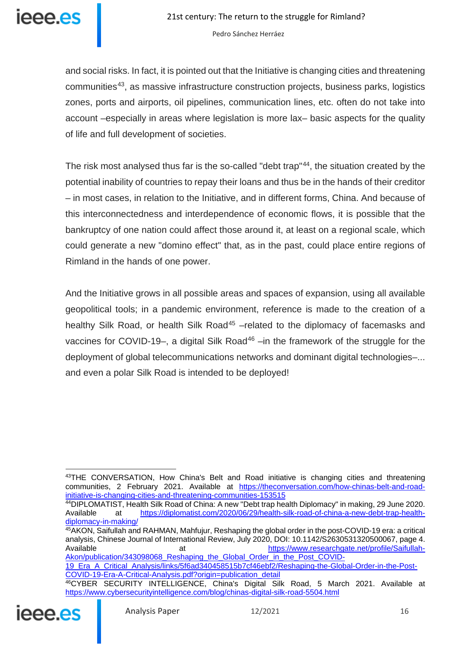

and social risks. In fact, it is pointed out that the Initiative is changing cities and threatening communities[43,](#page-15-0) as massive infrastructure construction projects, business parks, logistics zones, ports and airports, oil pipelines, communication lines, etc. often do not take into account –especially in areas where legislation is more lax– basic aspects for the quality of life and full development of societies.

The risk most analysed thus far is the so-called "debt trap"<sup>44</sup>, the situation created by the potential inability of countries to repay their loans and thus be in the hands of their creditor – in most cases, in relation to the Initiative, and in different forms, China. And because of this interconnectedness and interdependence of economic flows, it is possible that the bankruptcy of one nation could affect those around it, at least on a regional scale, which could generate a new "domino effect" that, as in the past, could place entire regions of Rimland in the hands of one power.

And the Initiative grows in all possible areas and spaces of expansion, using all available geopolitical tools; in a pandemic environment, reference is made to the creation of a healthy Silk Road, or health Silk Road<sup>[45](#page-15-2)</sup> –related to the diplomacy of facemasks and vaccines for COVID-19–, a digital Silk Road<sup>[46](#page-15-3)</sup> –in the framework of the struggle for the deployment of global telecommunications networks and dominant digital technologies–... and even a polar Silk Road is intended to be deployed!

<span id="page-15-3"></span><span id="page-15-2"></span><sup>46</sup>CYBER SECURITY INTELLIGENCE, China's Digital Silk Road, 5 March 2021. Available at <https://www.cybersecurityintelligence.com/blog/chinas-digital-silk-road-5504.html>



<span id="page-15-0"></span><sup>43</sup>THE CONVERSATION, How China's Belt and Road initiative is changing cities and threatening communities, 2 February 2021. Available at [https://theconversation.com/how-chinas-belt-and-road](https://theconversation.com/how-chinas-belt-and-road-initiative-is-changing-cities-and-threatening-communities-153515)[initiative-is-changing-cities-and-threatening-communities-153515](https://theconversation.com/how-chinas-belt-and-road-initiative-is-changing-cities-and-threatening-communities-153515)

<span id="page-15-1"></span><sup>44</sup>DIPLOMATIST, Health Silk Road of China: A new "Debt trap health Diplomacy" in making, 29 June 2020. Available at [https://diplomatist.com/2020/06/29/health-silk-road-of-china-a-new-debt-trap-health](https://diplomatist.com/2020/06/29/health-silk-road-of-china-a-new-debt-trap-health-diplomacy-in-making/)[diplomacy-in-making/](https://diplomatist.com/2020/06/29/health-silk-road-of-china-a-new-debt-trap-health-diplomacy-in-making/)

<sup>45</sup>AKON, Saifullah and RAHMAN, Mahfujur, Reshaping the global order in the post-COVID-19 era: a critical analysis, Chinese Journal of International Review, July 2020, DOI: 10.1142/S2630531320500067, page 4. Available at [https://www.researchgate.net/profile/Saifullah-](https://www.researchgate.net/profile/Saifullah-Akon/publication/343098068_Reshaping_the_Global_Order_in_the_Post_COVID-19_Era_A_Critical_Analysis/links/5f6ad340458515b7cf46ebf2/Reshaping-the-Global-Order-in-the-Post-COVID-19-Era-A-Critical-Analysis.pdf?origin=publication_detail)[Akon/publication/343098068\\_Reshaping\\_the\\_Global\\_Order\\_in\\_the\\_Post\\_COVID-](https://www.researchgate.net/profile/Saifullah-Akon/publication/343098068_Reshaping_the_Global_Order_in_the_Post_COVID-19_Era_A_Critical_Analysis/links/5f6ad340458515b7cf46ebf2/Reshaping-the-Global-Order-in-the-Post-COVID-19-Era-A-Critical-Analysis.pdf?origin=publication_detail)

[<sup>19</sup>\\_Era\\_A\\_Critical\\_Analysis/links/5f6ad340458515b7cf46ebf2/Reshaping-the-Global-Order-in-the-Post-](https://www.researchgate.net/profile/Saifullah-Akon/publication/343098068_Reshaping_the_Global_Order_in_the_Post_COVID-19_Era_A_Critical_Analysis/links/5f6ad340458515b7cf46ebf2/Reshaping-the-Global-Order-in-the-Post-COVID-19-Era-A-Critical-Analysis.pdf?origin=publication_detail)[COVID-19-Era-A-Critical-Analysis.pdf?origin=publication\\_detail](https://www.researchgate.net/profile/Saifullah-Akon/publication/343098068_Reshaping_the_Global_Order_in_the_Post_COVID-19_Era_A_Critical_Analysis/links/5f6ad340458515b7cf46ebf2/Reshaping-the-Global-Order-in-the-Post-COVID-19-Era-A-Critical-Analysis.pdf?origin=publication_detail)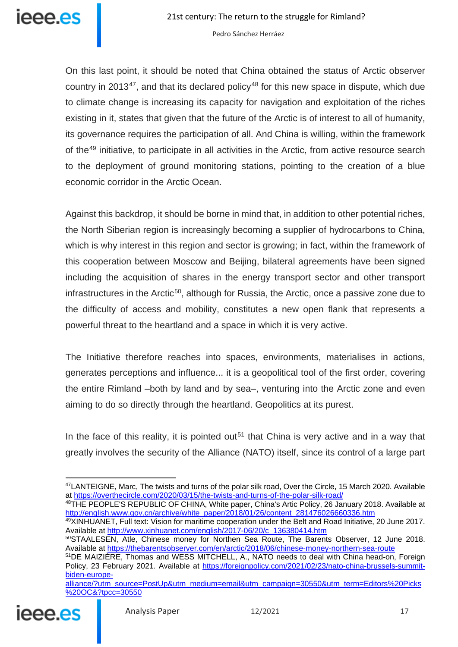

On this last point, it should be noted that China obtained the status of Arctic observer country in 2013<sup>47</sup>, and that its declared policy<sup>[48](#page-16-1)</sup> for this new space in dispute, which due to climate change is increasing its capacity for navigation and exploitation of the riches existing in it, states that given that the future of the Arctic is of interest to all of humanity, its governance requires the participation of all. And China is willing, within the framework of the<sup>[49](#page-16-2)</sup> initiative, to participate in all activities in the Arctic, from active resource search to the deployment of ground monitoring stations, pointing to the creation of a blue economic corridor in the Arctic Ocean.

Against this backdrop, it should be borne in mind that, in addition to other potential riches, the North Siberian region is increasingly becoming a supplier of hydrocarbons to China, which is why interest in this region and sector is growing; in fact, within the framework of this cooperation between Moscow and Beijing, bilateral agreements have been signed including the acquisition of shares in the energy transport sector and other transport infrastructures in the Arctic<sup>50</sup>, although for Russia, the Arctic, once a passive zone due to the difficulty of access and mobility, constitutes a new open flank that represents a powerful threat to the heartland and a space in which it is very active.

The Initiative therefore reaches into spaces, environments, materialises in actions, generates perceptions and influence... it is a geopolitical tool of the first order, covering the entire Rimland –both by land and by sea–, venturing into the Arctic zone and even aiming to do so directly through the heartland. Geopolitics at its purest.

In the face of this reality, it is pointed out<sup>[51](#page-16-4)</sup> that China is very active and in a way that greatly involves the security of the Alliance (NATO) itself, since its control of a large part

<span id="page-16-1"></span>48THE PEOPLE'S REPUBLIC OF CHINA, White paper, China's Artic Policy, 26 January 2018. Available at [http://english.www.gov.cn/archive/white\\_paper/2018/01/26/content\\_281476026660336.htm](http://english.www.gov.cn/archive/white_paper/2018/01/26/content_281476026660336.htm)

49XINHUANET, Full text: Vision for maritime cooperation under the Belt and Road Initiative, 20 June 2017. Available at [http://www.xinhuanet.com/english/2017-06/20/c\\_136380414.htm](http://www.xinhuanet.com/english/2017-06/20/c_136380414.htm)

<span id="page-16-4"></span><span id="page-16-3"></span><span id="page-16-2"></span>[alliance/?utm\\_source=PostUp&utm\\_medium=email&utm\\_campaign=30550&utm\\_term=Editors%20Picks](https://foreignpolicy.com/2021/02/23/nato-china-brussels-summit-biden-europe-alliance/?utm_source=PostUp&utm_medium=email&utm_campaign=30550&utm_term=Editors%20Picks%20OC&?tpcc=30550) [%20OC&?tpcc=30550](https://foreignpolicy.com/2021/02/23/nato-china-brussels-summit-biden-europe-alliance/?utm_source=PostUp&utm_medium=email&utm_campaign=30550&utm_term=Editors%20Picks%20OC&?tpcc=30550)



<span id="page-16-0"></span><sup>47</sup>LANTEIGNE, Marc, The twists and turns of the polar silk road, Over the Circle, 15 March 2020. Available at<https://overthecircle.com/2020/03/15/the-twists-and-turns-of-the-polar-silk-road/>

<sup>50</sup>STAALESEN, Atle, Chinese money for Northen Sea Route, The Barents Observer, 12 June 2018. Available at<https://thebarentsobserver.com/en/arctic/2018/06/chinese-money-northern-sea-route>

<sup>51</sup>DE MAIZIÈRE, Thomas and WESS MITCHELL, A., NATO needs to deal with China head-on, Foreign Policy, 23 February 2021. Available at [https://foreignpolicy.com/2021/02/23/nato-china-brussels-summit](https://foreignpolicy.com/2021/02/23/nato-china-brussels-summit-biden-europe-alliance/?utm_source=PostUp&utm_medium=email&utm_campaign=30550&utm_term=Editors%20Picks%20OC&?tpcc=30550)[biden-europe-](https://foreignpolicy.com/2021/02/23/nato-china-brussels-summit-biden-europe-alliance/?utm_source=PostUp&utm_medium=email&utm_campaign=30550&utm_term=Editors%20Picks%20OC&?tpcc=30550)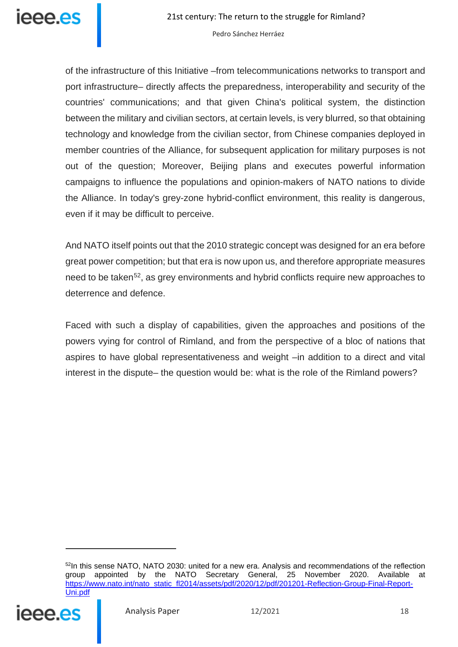

of the infrastructure of this Initiative –from telecommunications networks to transport and port infrastructure– directly affects the preparedness, interoperability and security of the countries' communications; and that given China's political system, the distinction between the military and civilian sectors, at certain levels, is very blurred, so that obtaining technology and knowledge from the civilian sector, from Chinese companies deployed in member countries of the Alliance, for subsequent application for military purposes is not out of the question; Moreover, Beijing plans and executes powerful information campaigns to influence the populations and opinion-makers of NATO nations to divide the Alliance. In today's grey-zone hybrid-conflict environment, this reality is dangerous, even if it may be difficult to perceive.

And NATO itself points out that the 2010 strategic concept was designed for an era before great power competition; but that era is now upon us, and therefore appropriate measures need to be taken<sup>[52](#page-17-0)</sup>, as grey environments and hybrid conflicts require new approaches to deterrence and defence.

Faced with such a display of capabilities, given the approaches and positions of the powers vying for control of Rimland, and from the perspective of a bloc of nations that aspires to have global representativeness and weight –in addition to a direct and vital interest in the dispute– the question would be: what is the role of the Rimland powers?

<span id="page-17-0"></span><sup>&</sup>lt;sup>52</sup>In this sense NATO, NATO 2030: united for a new era. Analysis and recommendations of the reflection group appointed by the NATO Secretary General, 25 November 2020. Available at [https://www.nato.int/nato\\_static\\_fl2014/assets/pdf/2020/12/pdf/201201-Reflection-Group-Final-Report-](https://www.nato.int/nato_static_fl2014/assets/pdf/2020/12/pdf/201201-Reflection-Group-Final-Report-Uni.pdf)[Uni.pdf](https://www.nato.int/nato_static_fl2014/assets/pdf/2020/12/pdf/201201-Reflection-Group-Final-Report-Uni.pdf)

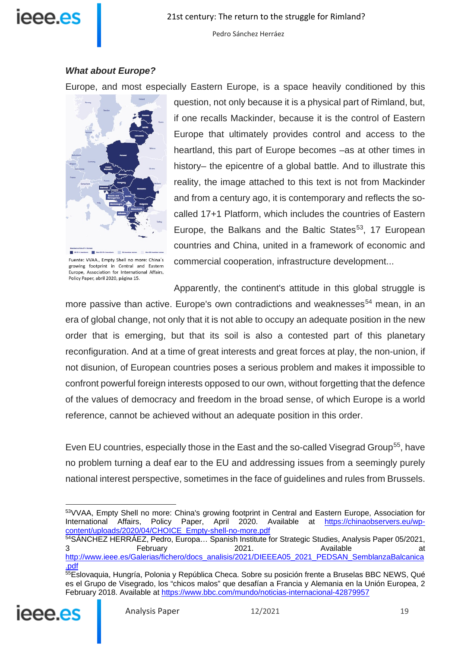# IAAA AS

Pedro Sánchez Herráez

## *What about Europe?*

Europe, and most especially Eastern Europe, is a space heavily conditioned by this



Fuente: VVAA.. Empty Shell no more: China's growing footprint in Central and Eastern Europe, Association for International Affairs, Policy Paper, abril 2020, página 15.

question, not only because it is a physical part of Rimland, but, if one recalls Mackinder, because it is the control of Eastern Europe that ultimately provides control and access to the heartland, this part of Europe becomes –as at other times in history– the epicentre of a global battle. And to illustrate this reality, the image attached to this text is not from Mackinder and from a century ago, it is contemporary and reflects the socalled 17+1 Platform, which includes the countries of Eastern Europe, the Balkans and the Baltic States<sup>[53](#page-18-0)</sup>, 17 European countries and China, united in a framework of economic and commercial cooperation, infrastructure development...

Apparently, the continent's attitude in this global struggle is

more passive than active. Europe's own contradictions and weaknesses<sup>[54](#page-18-1)</sup> mean, in an era of global change, not only that it is not able to occupy an adequate position in the new order that is emerging, but that its soil is also a contested part of this planetary reconfiguration. And at a time of great interests and great forces at play, the non-union, if not disunion, of European countries poses a serious problem and makes it impossible to confront powerful foreign interests opposed to our own, without forgetting that the defence of the values of democracy and freedom in the broad sense, of which Europe is a world reference, cannot be achieved without an adequate position in this order.

Even EU countries, especially those in the East and the so-called Visegrad Group<sup>55</sup>, have no problem turning a deaf ear to the EU and addressing issues from a seemingly purely national interest perspective, sometimes in the face of guidelines and rules from Brussels.

<span id="page-18-2"></span><span id="page-18-1"></span><span id="page-18-0"></span><sup>55</sup>Eslovaquia, Hungría, Polonia y República Checa. Sobre su posición frente a Bruselas BBC NEWS, Qué es el Grupo de Visegrado, los "chicos malos" que desafían a Francia y Alemania en la Unión Europea, 2 February 2018. Available at<https://www.bbc.com/mundo/noticias-internacional-42879957>



 $\overline{a}$ 53VVAA, Empty Shell no more: China's growing footprint in Central and Eastern Europe, Association for International Affairs, Policy Paper, April 2020. Available at [https://chinaobservers.eu/wp](https://chinaobservers.eu/wp-content/uploads/2020/04/CHOICE_Empty-shell-no-more.pdf)[content/uploads/2020/04/CHOICE\\_Empty-shell-no-more.pdf](https://chinaobservers.eu/wp-content/uploads/2020/04/CHOICE_Empty-shell-no-more.pdf)

<sup>54</sup>SÁNCHEZ HERRÁEZ, Pedro, Europa… Spanish Institute for Strategic Studies, Analysis Paper 05/2021, 3 February 2021. Available at [http://www.ieee.es/Galerias/fichero/docs\\_analisis/2021/DIEEEA05\\_2021\\_PEDSAN\\_SemblanzaBalcanica](http://www.ieee.es/Galerias/fichero/docs_analisis/2021/DIEEEA05_2021_PEDSAN_SemblanzaBalcanica.pdf) [.pdf](http://www.ieee.es/Galerias/fichero/docs_analisis/2021/DIEEEA05_2021_PEDSAN_SemblanzaBalcanica.pdf)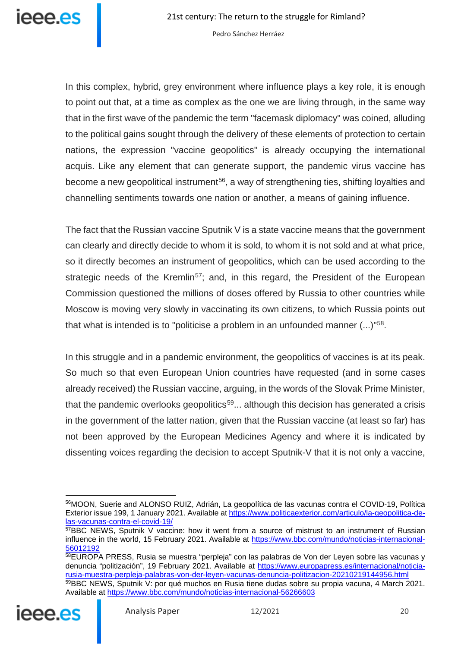

In this complex, hybrid, grey environment where influence plays a key role, it is enough to point out that, at a time as complex as the one we are living through, in the same way that in the first wave of the pandemic the term "facemask diplomacy" was coined, alluding to the political gains sought through the delivery of these elements of protection to certain nations, the expression "vaccine geopolitics" is already occupying the international acquis. Like any element that can generate support, the pandemic virus vaccine has become a new geopolitical instrument<sup>[56](#page-19-0)</sup>, a way of strengthening ties, shifting loyalties and channelling sentiments towards one nation or another, a means of gaining influence.

The fact that the Russian vaccine Sputnik V is a state vaccine means that the government can clearly and directly decide to whom it is sold, to whom it is not sold and at what price, so it directly becomes an instrument of geopolitics, which can be used according to the strategic needs of the Kremlin<sup>57</sup>; and, in this regard, the President of the European Commission questioned the millions of doses offered by Russia to other countries while Moscow is moving very slowly in vaccinating its own citizens, to which Russia points out that what is intended is to "politicise a problem in an unfounded manner (...)"[58](#page-19-2).

In this struggle and in a pandemic environment, the geopolitics of vaccines is at its peak. So much so that even European Union countries have requested (and in some cases already received) the Russian vaccine, arguing, in the words of the Slovak Prime Minister, that the pandemic overlooks geopolitics<sup>[59](#page-19-3)</sup>... although this decision has generated a crisis in the government of the latter nation, given that the Russian vaccine (at least so far) has not been approved by the European Medicines Agency and where it is indicated by dissenting voices regarding the decision to accept Sputnik-V that it is not only a vaccine,

<span id="page-19-3"></span><span id="page-19-2"></span><span id="page-19-1"></span><span id="page-19-0"></span><sup>&</sup>lt;sup>58</sup>EUROPA PRESS, Rusia se muestra "perpleja" con las palabras de Von der Leyen sobre las vacunas y denuncia "politización", 19 February 2021. Available at [https://www.europapress.es/internacional/noticia](https://www.europapress.es/internacional/noticia-rusia-muestra-perpleja-palabras-von-der-leyen-vacunas-denuncia-politizacion-20210219144956.html)[rusia-muestra-perpleja-palabras-von-der-leyen-vacunas-denuncia-politizacion-20210219144956.html](https://www.europapress.es/internacional/noticia-rusia-muestra-perpleja-palabras-von-der-leyen-vacunas-denuncia-politizacion-20210219144956.html) 59BBC NEWS, Sputnik V: por qué muchos en Rusia tiene dudas sobre su propia vacuna, 4 March 2021. Available at<https://www.bbc.com/mundo/noticias-internacional-56266603>



<sup>56</sup>MOON, Suerie and ALONSO RUIZ, Adrián, La geopolítica de las vacunas contra el COVID-19, Política Exterior issue 199, 1 January 2021. Available a[t https://www.politicaexterior.com/articulo/la-geopolitica-de](https://www.politicaexterior.com/articulo/la-geopolitica-de-las-vacunas-contra-el-covid-19/)[las-vacunas-contra-el-covid-19/](https://www.politicaexterior.com/articulo/la-geopolitica-de-las-vacunas-contra-el-covid-19/)

 $57$ BBC NEWS, Sputnik V vaccine: how it went from a source of mistrust to an instrument of Russian influence in the world, 15 February 2021. Available at [https://www.bbc.com/mundo/noticias-internacional-](https://www.bbc.com/mundo/noticias-internacional-56012192)[56012192](https://www.bbc.com/mundo/noticias-internacional-56012192)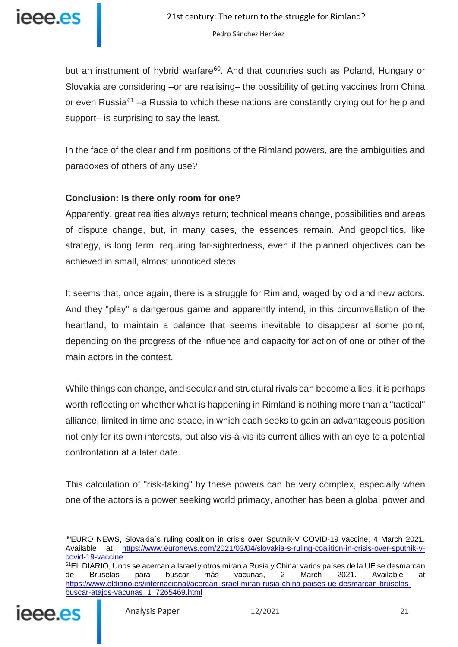

but an instrument of hybrid warfare<sup>60</sup>. And that countries such as Poland, Hungary or Slovakia are considering –or are realising– the possibility of getting vaccines from China or even Russia<sup>[61](#page-20-1)</sup> –a Russia to which these nations are constantly crying out for help and support– is surprising to say the least.

In the face of the clear and firm positions of the Rimland powers, are the ambiguities and paradoxes of others of any use?

## **Conclusion: Is there only room for one?**

Apparently, great realities always return; technical means change, possibilities and areas of dispute change, but, in many cases, the essences remain. And geopolitics, like strategy, is long term, requiring far-sightedness, even if the planned objectives can be achieved in small, almost unnoticed steps.

It seems that, once again, there is a struggle for Rimland, waged by old and new actors. And they "play" a dangerous game and apparently intend, in this circumvallation of the heartland, to maintain a balance that seems inevitable to disappear at some point, depending on the progress of the influence and capacity for action of one or other of the main actors in the contest.

While things can change, and secular and structural rivals can become allies, it is perhaps worth reflecting on whether what is happening in Rimland is nothing more than a "tactical" alliance, limited in time and space, in which each seeks to gain an advantageous position not only for its own interests, but also vis-à-vis its current allies with an eye to a potential confrontation at a later date.

This calculation of "risk-taking" by these powers can be very complex, especially when one of the actors is a power seeking world primacy, another has been a global power and

<span id="page-20-1"></span><span id="page-20-0"></span><sup>&</sup>lt;sup>61</sup>EL DIARIO, Unos se acercan a Israel y otros miran a Rusia y China: varios países de la UE se desmarcan<br>de Bruselas para buscar más vacunas, 2 March 2021. Available a de Bruselas para buscar más vacunas, 2 March 2021. Available at [https://www.eldiario.es/internacional/acercan-israel-miran-rusia-china-paises-ue-desmarcan-bruselas](https://www.eldiario.es/internacional/acercan-israel-miran-rusia-china-paises-ue-desmarcan-bruselas-buscar-atajos-vacunas_1_7265469.html)[buscar-atajos-vacunas\\_1\\_7265469.html](https://www.eldiario.es/internacional/acercan-israel-miran-rusia-china-paises-ue-desmarcan-bruselas-buscar-atajos-vacunas_1_7265469.html)



 $\overline{a}$ 60EURO NEWS, Slovakia´s ruling coalition in crisis over Sputnik-V COVID-19 vaccine, 4 March 2021. Available at [https://www.euronews.com/2021/03/04/slovakia-s-ruling-coalition-in-crisis-over-sputnik-v](https://www.euronews.com/2021/03/04/slovakia-s-ruling-coalition-in-crisis-over-sputnik-v-covid-19-vaccine)[covid-19-vaccine](https://www.euronews.com/2021/03/04/slovakia-s-ruling-coalition-in-crisis-over-sputnik-v-covid-19-vaccine)